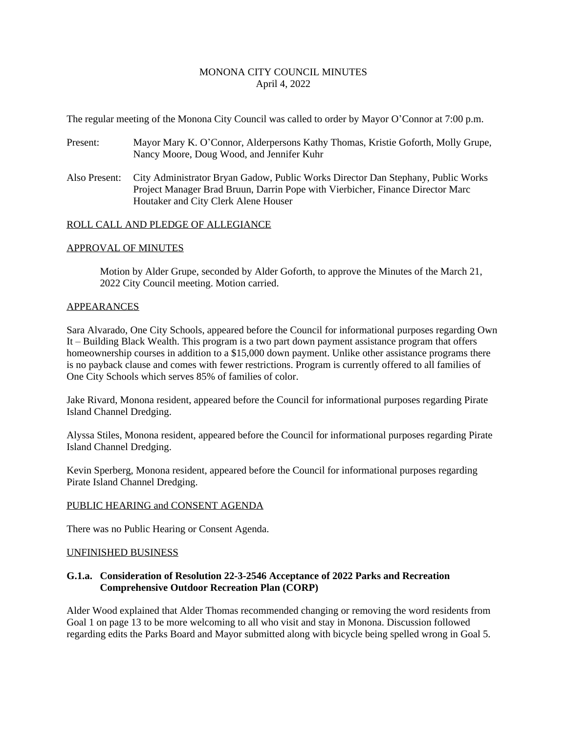## MONONA CITY COUNCIL MINUTES April 4, 2022

The regular meeting of the Monona City Council was called to order by Mayor O'Connor at 7:00 p.m.

- Present: Mayor Mary K. O'Connor, Alderpersons Kathy Thomas, Kristie Goforth, Molly Grupe, Nancy Moore, Doug Wood, and Jennifer Kuhr
- Also Present: City Administrator Bryan Gadow, Public Works Director Dan Stephany, Public Works Project Manager Brad Bruun, Darrin Pope with Vierbicher, Finance Director Marc Houtaker and City Clerk Alene Houser

#### ROLL CALL AND PLEDGE OF ALLEGIANCE

#### APPROVAL OF MINUTES

Motion by Alder Grupe, seconded by Alder Goforth, to approve the Minutes of the March 21, 2022 City Council meeting. Motion carried.

#### APPEARANCES

is no payback clause and comes with fewer restrictions. Program is currently offered to all families of Sara Alvarado, One City Schools, appeared before the Council for informational purposes regarding Own It – Building Black Wealth. This program is a two part down payment assistance program that offers homeownership courses in addition to a \$15,000 down payment. Unlike other assistance programs there One City Schools which serves 85% of families of color.

Jake Rivard, Monona resident, appeared before the Council for informational purposes regarding Pirate Island Channel Dredging.

Alyssa Stiles, Monona resident, appeared before the Council for informational purposes regarding Pirate Island Channel Dredging.

Kevin Sperberg, Monona resident, appeared before the Council for informational purposes regarding Pirate Island Channel Dredging.

#### PUBLIC HEARING and CONSENT AGENDA

There was no Public Hearing or Consent Agenda.

#### UNFINISHED BUSINESS

## **G.1.a. Consideration of Resolution 22-3-2546 Acceptance of 2022 Parks and Recreation Comprehensive Outdoor Recreation Plan (CORP)**

Alder Wood explained that Alder Thomas recommended changing or removing the word residents from Goal 1 on page 13 to be more welcoming to all who visit and stay in Monona. Discussion followed regarding edits the Parks Board and Mayor submitted along with bicycle being spelled wrong in Goal 5.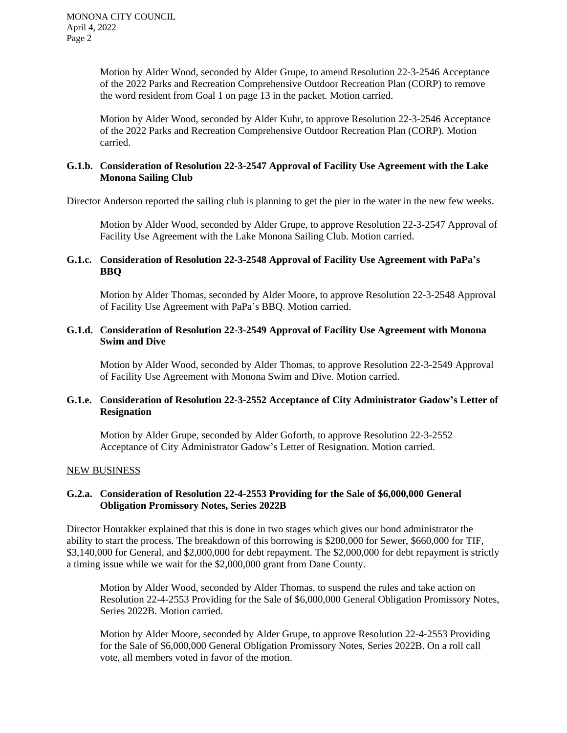Motion by Alder Wood, seconded by Alder Grupe, to amend Resolution 22-3-2546 Acceptance of the 2022 Parks and Recreation Comprehensive Outdoor Recreation Plan (CORP) to remove the word resident from Goal 1 on page 13 in the packet. Motion carried.

Motion by Alder Wood, seconded by Alder Kuhr, to approve Resolution 22-3-2546 Acceptance of the 2022 Parks and Recreation Comprehensive Outdoor Recreation Plan (CORP). Motion carried.

## **G.1.b. Consideration of Resolution 22-3-2547 Approval of Facility Use Agreement with the Lake Monona Sailing Club**

Director Anderson reported the sailing club is planning to get the pier in the water in the new few weeks.

Motion by Alder Wood, seconded by Alder Grupe, to approve Resolution 22-3-2547 Approval of Facility Use Agreement with the Lake Monona Sailing Club. Motion carried.

## **G.1.c. Consideration of Resolution 22-3-2548 Approval of Facility Use Agreement with PaPa's BBQ**

Motion by Alder Thomas, seconded by Alder Moore, to approve Resolution 22-3-2548 Approval of Facility Use Agreement with PaPa's BBQ. Motion carried.

#### **G.1.d. Consideration of Resolution 22-3-2549 Approval of Facility Use Agreement with Monona Swim and Dive**

Motion by Alder Wood, seconded by Alder Thomas, to approve Resolution 22-3-2549 Approval of Facility Use Agreement with Monona Swim and Dive. Motion carried.

## **G.1.e. Consideration of Resolution 22-3-2552 Acceptance of City Administrator Gadow's Letter of Resignation**

Motion by Alder Grupe, seconded by Alder Goforth, to approve Resolution 22-3-2552 Acceptance of City Administrator Gadow's Letter of Resignation. Motion carried.

## NEW BUSINESS

## **G.2.a. Consideration of Resolution 22-4-2553 Providing for the Sale of \$6,000,000 General Obligation Promissory Notes, Series 2022B**

Director Houtakker explained that this is done in two stages which gives our bond administrator the ability to start the process. The breakdown of this borrowing is \$200,000 for Sewer, \$660,000 for TIF, \$3,140,000 for General, and \$2,000,000 for debt repayment. The \$2,000,000 for debt repayment is strictly a timing issue while we wait for the \$2,000,000 grant from Dane County.

Motion by Alder Wood, seconded by Alder Thomas, to suspend the rules and take action on Resolution 22-4-2553 Providing for the Sale of \$6,000,000 General Obligation Promissory Notes, Series 2022B. Motion carried.

Motion by Alder Moore, seconded by Alder Grupe, to approve Resolution 22-4-2553 Providing for the Sale of \$6,000,000 General Obligation Promissory Notes, Series 2022B. On a roll call vote, all members voted in favor of the motion.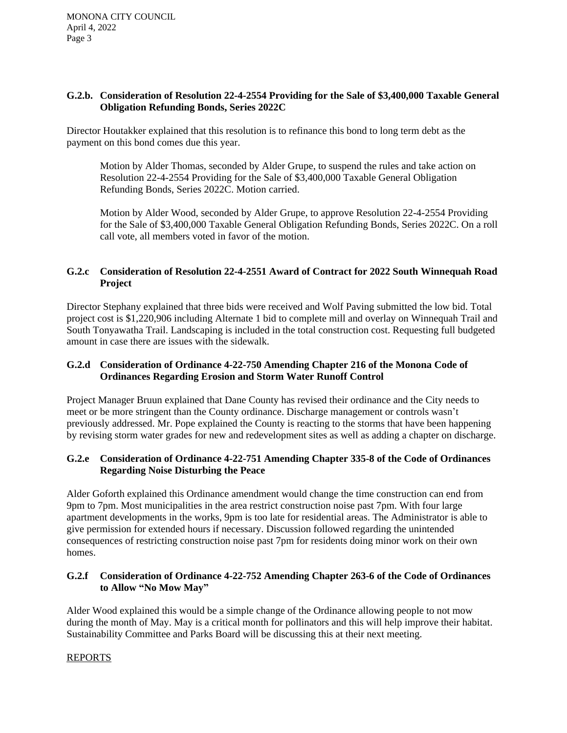## **G.2.b. Consideration of Resolution 22-4-2554 Providing for the Sale of \$3,400,000 Taxable General Obligation Refunding Bonds, Series 2022C**

Director Houtakker explained that this resolution is to refinance this bond to long term debt as the payment on this bond comes due this year.

Motion by Alder Thomas, seconded by Alder Grupe, to suspend the rules and take action on Resolution 22-4-2554 Providing for the Sale of \$3,400,000 Taxable General Obligation Refunding Bonds, Series 2022C. Motion carried.

Motion by Alder Wood, seconded by Alder Grupe, to approve Resolution 22-4-2554 Providing for the Sale of \$3,400,000 Taxable General Obligation Refunding Bonds, Series 2022C. On a roll call vote, all members voted in favor of the motion.

# **G.2.c Consideration of Resolution 22-4-2551 Award of Contract for 2022 South Winnequah Road Project**

Director Stephany explained that three bids were received and Wolf Paving submitted the low bid. Total project cost is \$1,220,906 including Alternate 1 bid to complete mill and overlay on Winnequah Trail and South Tonyawatha Trail. Landscaping is included in the total construction cost. Requesting full budgeted amount in case there are issues with the sidewalk.

# **G.2.d Consideration of Ordinance 4-22-750 Amending Chapter 216 of the Monona Code of Ordinances Regarding Erosion and Storm Water Runoff Control**

Project Manager Bruun explained that Dane County has revised their ordinance and the City needs to meet or be more stringent than the County ordinance. Discharge management or controls wasn't previously addressed. Mr. Pope explained the County is reacting to the storms that have been happening by revising storm water grades for new and redevelopment sites as well as adding a chapter on discharge.

# **G.2.e Consideration of Ordinance 4-22-751 Amending Chapter 335-8 of the Code of Ordinances Regarding Noise Disturbing the Peace**

Alder Goforth explained this Ordinance amendment would change the time construction can end from 9pm to 7pm. Most municipalities in the area restrict construction noise past 7pm. With four large apartment developments in the works, 9pm is too late for residential areas. The Administrator is able to give permission for extended hours if necessary. Discussion followed regarding the unintended consequences of restricting construction noise past 7pm for residents doing minor work on their own homes.

# **G.2.f Consideration of Ordinance 4-22-752 Amending Chapter 263-6 of the Code of Ordinances to Allow "No Mow May"**

Alder Wood explained this would be a simple change of the Ordinance allowing people to not mow during the month of May. May is a critical month for pollinators and this will help improve their habitat. Sustainability Committee and Parks Board will be discussing this at their next meeting.

# REPORTS